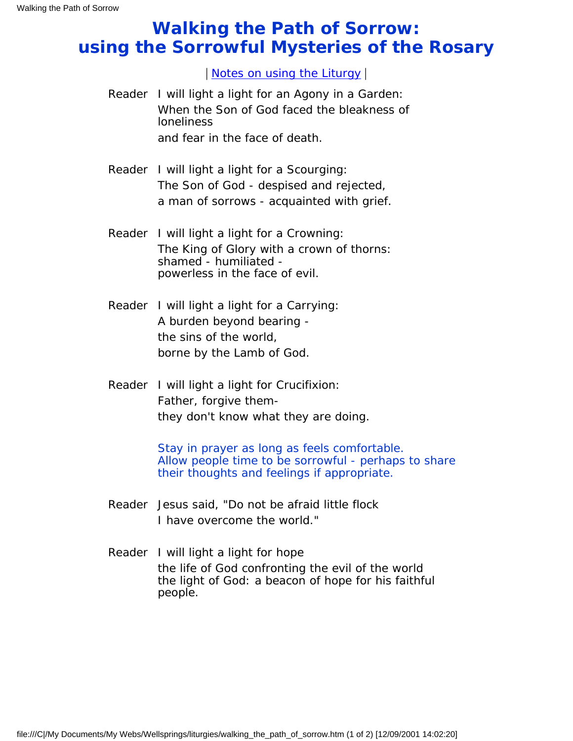## **Walking the Path of Sorrow: using the Sorrowful Mysteries of the Rosary**

| [Notes on using the Liturgy](#page-1-0) |

- Reader I will light a light for an Agony in a Garden: When the Son of God faced the bleakness of loneliness and fear in the face of death.
- Reader I will light a light for a Scourging: The Son of God - despised and rejected, a man of sorrows - acquainted with grief.
- Reader I will light a light for a Crowning: The King of Glory with a crown of thorns: shamed - humiliated powerless in the face of evil.
- Reader I will light a light for a Carrying: A burden beyond bearing the sins of the world, borne by the Lamb of God.
- Reader I will light a light for Crucifixion: Father, forgive themthey don't know what they are doing.

Stay in prayer as long as feels comfortable. Allow people time to be sorrowful - perhaps to share their thoughts and feelings if appropriate.

- Reader Jesus said, "Do not be afraid little flock I have overcome the world."
- Reader I will light a light for hope the life of God confronting the evil of the world the light of God: a beacon of hope for his faithful people.